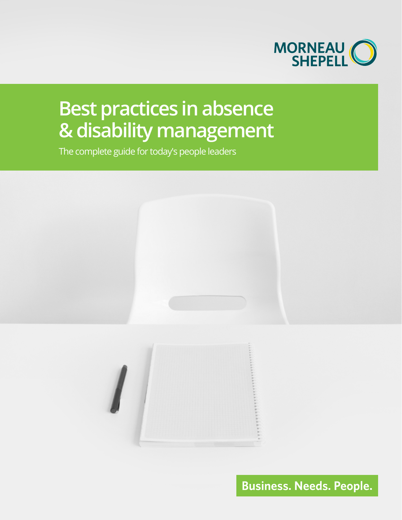

# **Best practices in absence & disability management**

The complete guide for today's people leaders



**Business. Needs. People.**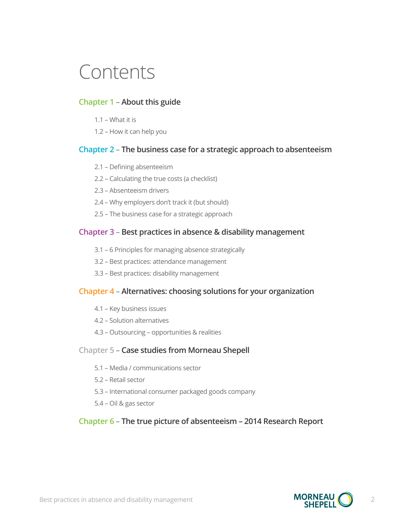# Contents

#### **Chapter 1** – **[About this guide](#page-2-0)**

- [1.1 What it is](#page-3-0)
- [1.2 How it can help you](#page-4-0)

#### **Chapter 2** – **The business case for a strategic approach to absenteeism**

- [2.1 Defining absenteeism](#page-6-0)
- [2.2 Calculating the true costs \(a checklist\)](#page-7-0)
- [2.3 Absenteeism drivers](#page-9-0)
- 2.4 Why employers don't track it (but should)
- [2.5 The business case for a strategic approach](#page-11-0)

#### **Chapter 3** – **Best practices in absence & disability management**

- 3.1 6 Principles for managing absence strategically
- 3.2 Best practices: attendance management
- 3.3 Best practices: disability management

#### **Chapter 4** – **Alternatives: choosing solutions for your organization**

- 4.1 Key business issues
- 4.2 Solution alternatives
- 4.3 Outsourcing opportunities & realities

#### **Chapter 5** – **Case studies from Morneau Shepell**

- 5.1 – [Media / communications sector](#page-41-0)
- 5.2 – [Retail sector](#page-42-0)
- [5.3 International consumer packaged goods company](#page-43-0)
- 5.4 – [Oil & gas sector](#page-44-0)

#### **Chapter 6** – **The true picture of absenteeism – 2014 Research Report**

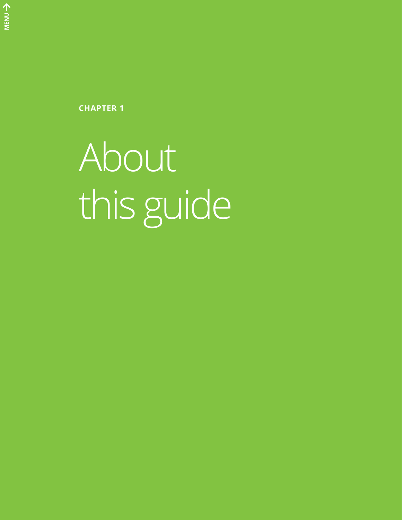<span id="page-2-0"></span>**CHAPTER 1**

About this guide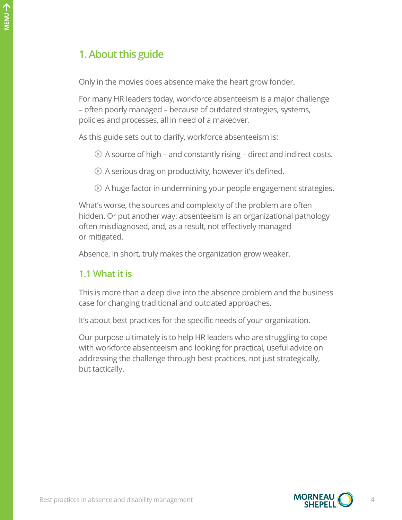# **1. About this guide**

Only in the movies does absence make the heart grow fonder.

For many HR leaders today, workforce absenteeism is a major challenge – often poorly managed – because of outdated strategies, systems, policies and processes, all in need of a makeover.

As this guide sets out to clarify, workforce absenteeism is:

- $\odot$  A source of high and constantly rising direct and indirect costs.
- A serious drag on productivity, however it's defined.
- A huge factor in undermining your people engagement strategies.

What's worse, the sources and complexity of the problem are often hidden. Or put another way: absenteeism is an organizational pathology often misdiagnosed, and, as a result, not effectively managed or mitigated.

Absence, in short, truly makes the organization grow weaker.

# <span id="page-3-0"></span>**1.1 What it is**

This is more than a deep dive into the absence problem and the business case for changing traditional and outdated approaches.

It's about best practices for the specific needs of your organization.

Our purpose ultimately is to help HR leaders who are struggling to cope with workforce absenteeism and looking for practical, useful advice on addressing the challenge through best practices, not just strategically, but tactically.

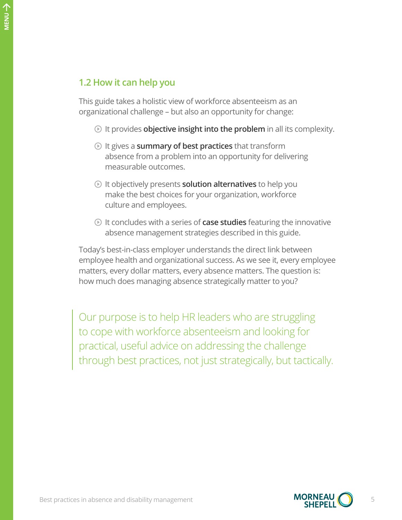# <span id="page-4-0"></span>**1.2 How it can help you**

This guide takes a holistic view of workforce absenteeism as an organizational challenge – but also an opportunity for change:

- It provides **objective insight into the problem** in all its complexity.
- It gives a **summary of best practices** that transform absence from a problem into an opportunity for delivering measurable outcomes.
- It objectively presents **solution alternatives** to help you make the best choices for your organization, workforce culture and employees.
- It concludes with a series of **case studies** featuring the innovative absence management strategies described in this guide.

Today's best-in-class employer understands the direct link between employee health and organizational success. As we see it, every employee matters, every dollar matters, every absence matters. The question is: how much does managing absence strategically matter to you?

Our purpose is to help HR leaders who are struggling to cope with workforce absenteeism and looking for practical, useful advice on addressing the challenge through best practices, not just strategically, but tactically.

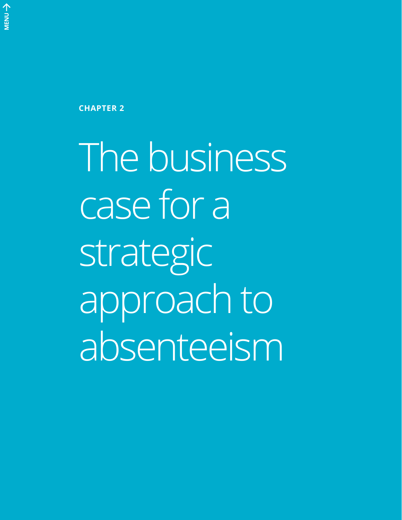**CHAPTER 2**

The business case for a strategic approach to absenteeism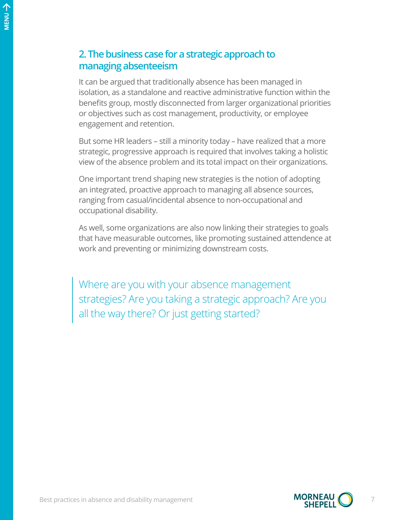# **2. The business case for a strategic approach to managing absenteeism**

It can be argued that traditionally absence has been managed in isolation, as a standalone and reactive administrative function within the benefits group, mostly disconnected from larger organizational priorities or objectives such as cost management, productivity, or employee engagement and retention.

But some HR leaders – still a minority today – have realized that a more strategic, progressive approach is required that involves taking a holistic view of the absence problem and its total impact on their organizations.

One important trend shaping new strategies is the notion of adopting an integrated, proactive approach to managing all absence sources, ranging from casual/incidental absence to non-occupational and occupational disability.

As well, some organizations are also now linking their strategies to goals that have measurable outcomes, like promoting sustained attendence at work and preventing or minimizing downstream costs.

<span id="page-6-0"></span>Where are you with your absence management strategies? Are you taking a strategic approach? Are you all the way there? Or just getting started?

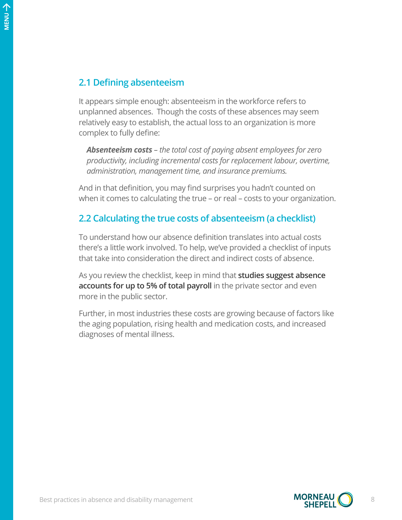### **2.1 Defining absenteeism**

It appears simple enough: absenteeism in the workforce refers to unplanned absences. Though the costs of these absences may seem relatively easy to establish, the actual loss to an organization is more complex to fully define:

*Absenteeism costs – the total cost of paying absent employees for zero productivity, including incremental costs for replacement labour, overtime, administration, management time, and insurance premiums.*

And in that definition, you may find surprises you hadn't counted on when it comes to calculating the true – or real – costs to your organization.

### <span id="page-7-0"></span>**2.2 Calculating the true costs of absenteeism (a checklist)**

To understand how our absence definition translates into actual costs there's a little work involved. To help, we've provided a checklist of inputs that take into consideration the direct and indirect costs of absence.

As you review the checklist, keep in mind that **studies suggest absence accounts for up to 5% of total payroll** in the private sector and even more in the public sector.

Further, in most industries these costs are growing because of factors like the aging population, rising health and medication costs, and increased diagnoses of mental illness.

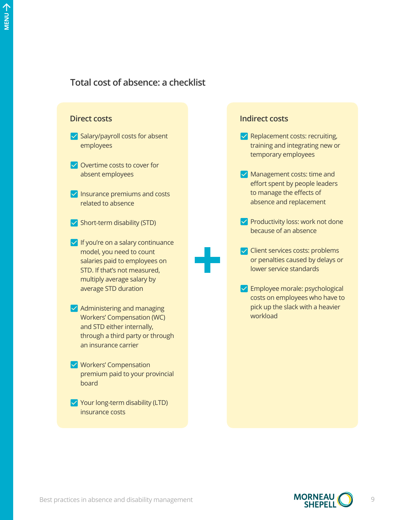# **Total cost of absence: a checklist**



#### **Indirect costs**

- $\vee$  Replacement costs: recruiting, training and integrating new or temporary employees
- $\vee$  Management costs: time and effort spent by people leaders to manage the effects of absence and replacement
- $\vee$  Productivity loss: work not done because of an absence
- $\vee$  Client services costs: problems or penalties caused by delays or lower service standards
- **V** Employee morale: psychological costs on employees who have to pick up the slack with a heavier workload

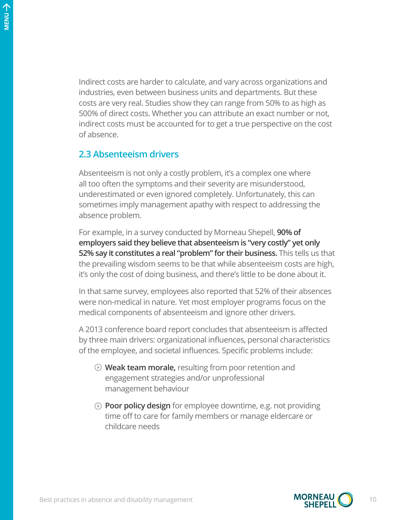Indirect costs are harder to calculate, and vary across organizations and industries, even between business units and departments. But these costs are very real. Studies show they can range from 50% to as high as 500% of direct costs. Whether you can attribute an exact number or not, indirect costs must be accounted for to get a true perspective on the cost of absence.

#### <span id="page-9-0"></span>**2.3 Absenteeism drivers**

Absenteeism is not only a costly problem, it's a complex one where all too often the symptoms and their severity are misunderstood, underestimated or even ignored completely. Unfortunately, this can sometimes imply management apathy with respect to addressing the absence problem.

For example, in a survey conducted by Morneau Shepell, **90% of employers said they believe that absenteeism is "very costly" yet only 52% say it constitutes a real "problem" for their business.** This tells us that the prevailing wisdom seems to be that while absenteeism costs are high, it's only the cost of doing business, and there's little to be done about it.

In that same survey, employees also reported that 52% of their absences were non-medical in nature. Yet most employer programs focus on the medical components of absenteeism and ignore other drivers.

A 2013 conference board report concludes that absenteeism is affected by three main drivers: organizational influences, personal characteristics of the employee, and societal influences. Specific problems include:

- **Weak team morale,** resulting from poor retention and engagement strategies and/or unprofessional management behaviour
- **Poor policy design** for employee downtime, e.g. not providing time off to care for family members or manage eldercare or childcare needs

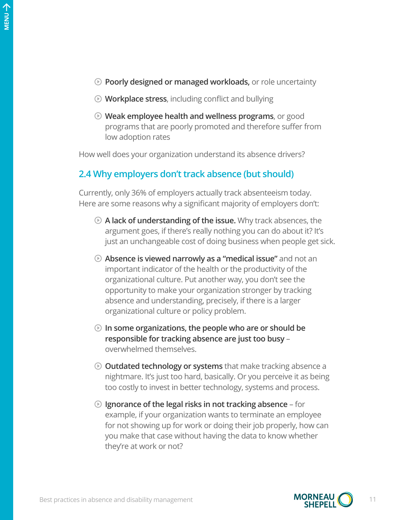- **Poorly designed or managed workloads,** or role uncertainty
- **Workplace stress**, including conflict and bullying
- **Weak employee health and wellness programs**, or good programs that are poorly promoted and therefore suffer from low adoption rates

How well does your organization understand its absence drivers?

### **2.4 Why employers don't track absence (but should)**

Currently, only 36% of employers actually track absenteeism today. Here are some reasons why a significant majority of employers don't:

- **A lack of understanding of the issue.** Why track absences, the argument goes, if there's really nothing you can do about it? It's just an unchangeable cost of doing business when people get sick.
- **Absence is viewed narrowly as a "medical issue"** and not an important indicator of the health or the productivity of the organizational culture. Put another way, you don't see the opportunity to make your organization stronger by tracking absence and understanding, precisely, if there is a larger organizational culture or policy problem.
- **In some organizations, the people who are or should be responsible for tracking absence are just too busy** – overwhelmed themselves.
- **Outdated technology or systems** that make tracking absence a nightmare. It's just too hard, basically. Or you perceive it as being too costly to invest in better technology, systems and process.
- **Ignorance of the legal risks in not tracking absence** for example, if your organization wants to terminate an employee for not showing up for work or doing their job properly, how can you make that case without having the data to know whether they're at work or not?

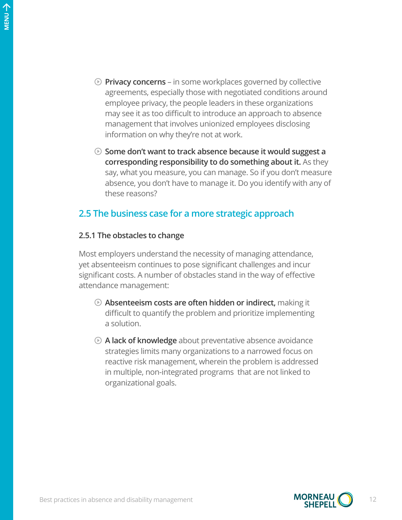- **Privacy concerns** in some workplaces governed by collective agreements, especially those with negotiated conditions around employee privacy, the people leaders in these organizations may see it as too difficult to introduce an approach to absence management that involves unionized employees disclosing information on why they're not at work.
- **Some don't want to track absence because it would suggest a corresponding responsibility to do something about it.** As they say, what you measure, you can manage. So if you don't measure absence, you don't have to manage it. Do you identify with any of these reasons?

### <span id="page-11-0"></span>**2.5 The business case for a more strategic approach**

#### **2.5.1 The obstacles to change**

Most employers understand the necessity of managing attendance, yet absenteeism continues to pose significant challenges and incur significant costs. A number of obstacles stand in the way of effective attendance management:

- **Absenteeism costs are often hidden or indirect,** making it difficult to quantify the problem and prioritize implementing a solution.
- **A lack of knowledge** about preventative absence avoidance strategies limits many organizations to a narrowed focus on reactive risk management, wherein the problem is addressed in multiple, non-integrated programs that are not linked to organizational goals.

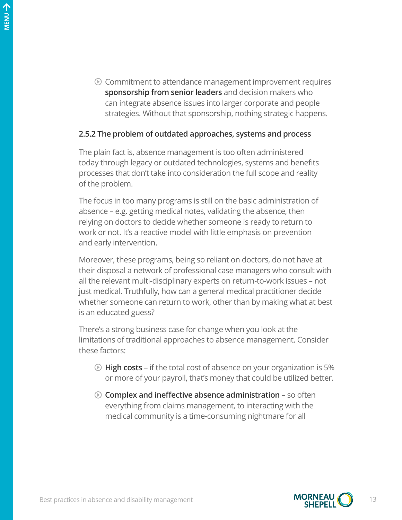$\odot$  Commitment to attendance management improvement requires **sponsorship from senior leaders** and decision makers who can integrate absence issues into larger corporate and people strategies. Without that sponsorship, nothing strategic happens.

#### **2.5.2 The problem of outdated approaches, systems and process**

The plain fact is, absence management is too often administered today through legacy or outdated technologies, systems and benefits processes that don't take into consideration the full scope and reality of the problem.

The focus in too many programs is still on the basic administration of absence – e.g. getting medical notes, validating the absence, then relying on doctors to decide whether someone is ready to return to work or not. It's a reactive model with little emphasis on prevention and early intervention.

Moreover, these programs, being so reliant on doctors, do not have at their disposal a network of professional case managers who consult with all the relevant multi-disciplinary experts on return-to-work issues – not just medical. Truthfully, how can a general medical practitioner decide whether someone can return to work, other than by making what at best is an educated guess?

There's a strong business case for change when you look at the limitations of traditional approaches to absence management. Consider these factors:

- **High costs** if the total cost of absence on your organization is 5% or more of your payroll, that's money that could be utilized better.
- **Complex and ineffective absence administration** so often everything from claims management, to interacting with the medical community is a time-consuming nightmare for all

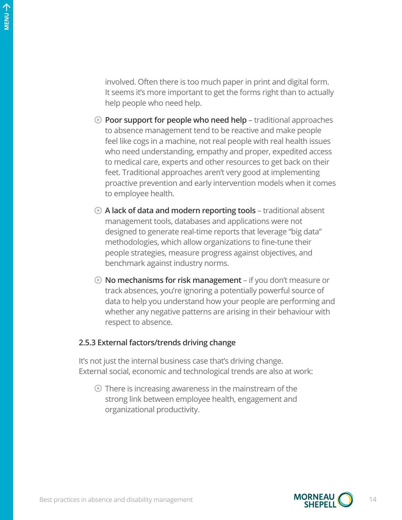involved. Often there is too much paper in print and digital form. It seems it's more important to get the forms right than to actually help people who need help.

- **Poor support for people who need help** traditional approaches to absence management tend to be reactive and make people feel like cogs in a machine, not real people with real health issues who need understanding, empathy and proper, expedited access to medical care, experts and other resources to get back on their feet. Traditional approaches aren't very good at implementing proactive prevention and early intervention models when it comes to employee health.
- **A lack of data and modern reporting tools** traditional absent management tools, databases and applications were not designed to generate real-time reports that leverage "big data" methodologies, which allow organizations to fine-tune their people strategies, measure progress against objectives, and benchmark against industry norms.
- **No mechanisms for risk management** if you don't measure or track absences, you're ignoring a potentially powerful source of data to help you understand how your people are performing and whether any negative patterns are arising in their behaviour with respect to absence.

#### **2.5.3 External factors/trends driving change**

It's not just the internal business case that's driving change. External social, economic and technological trends are also at work:

 $\odot$  There is increasing awareness in the mainstream of the strong link between employee health, engagement and organizational productivity.

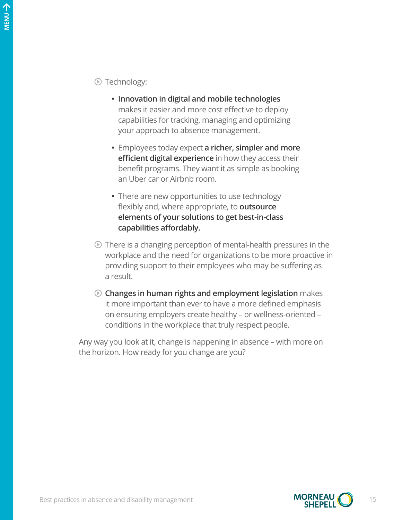Technology:

- **• Innovation in digital and mobile technologies** makes it easier and more cost effective to deploy capabilities for tracking, managing and optimizing your approach to absence management.
- **•** Employees today expect **a richer, simpler and more efficient digital experience** in how they access their benefit programs. They want it as simple as booking an Uber car or Airbnb room.
- **•** There are new opportunities to use technology flexibly and, where appropriate, to **outsource elements of your solutions to get best-in-class capabilities affordably.**
- $\odot$  There is a changing perception of mental-health pressures in the workplace and the need for organizations to be more proactive in providing support to their employees who may be suffering as a result.
- **Changes in human rights and employment legislation** makes it more important than ever to have a more defined emphasis on ensuring employers create healthy – or wellness-oriented – conditions in the workplace that truly respect people.

Any way you look at it, change is happening in absence – with more on the horizon. How ready for you change are you?

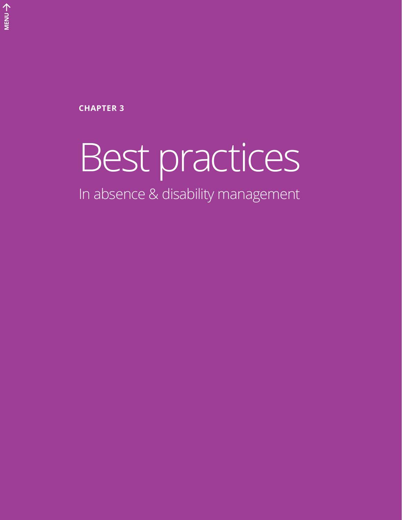**CHAPTER 3**

# Best practices

In absence & disability management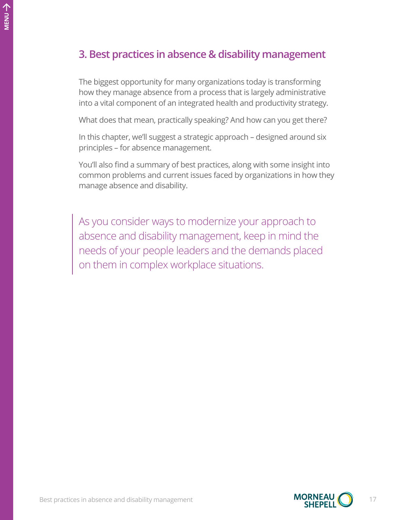# **3. Best practices in absence & disability management**

The biggest opportunity for many organizations today is transforming how they manage absence from a process that is largely administrative into a vital component of an integrated health and productivity strategy.

What does that mean, practically speaking? And how can you get there?

In this chapter, we'll suggest a strategic approach – designed around six principles – for absence management.

You'll also find a summary of best practices, along with some insight into common problems and current issues faced by organizations in how they manage absence and disability.

As you consider ways to modernize your approach to absence and disability management, keep in mind the needs of your people leaders and the demands placed on them in complex workplace situations.

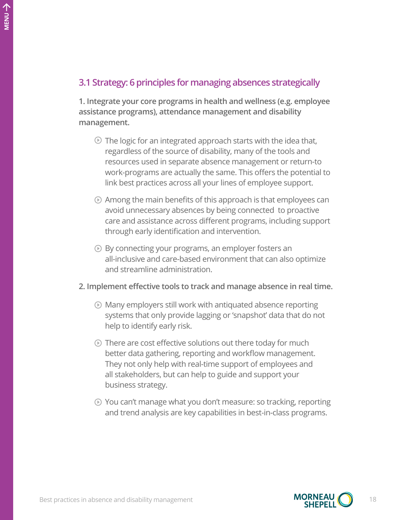## **3.1 Strategy: 6 principles for managing absences strategically**

**1. Integrate your core programs in health and wellness (e.g. employee assistance programs), attendance management and disability management.**

- $\odot$  The logic for an integrated approach starts with the idea that, regardless of the source of disability, many of the tools and resources used in separate absence management or return-to work-programs are actually the same. This offers the potential to link best practices across all your lines of employee support.
- $\odot$  Among the main benefits of this approach is that employees can avoid unnecessary absences by being connected to proactive care and assistance across different programs, including support through early identification and intervention.
- By connecting your programs, an employer fosters an all-inclusive and care-based environment that can also optimize and streamline administration.
- **2. Implement effective tools to track and manage absence in real time.** 
	- Many employers still work with antiquated absence reporting systems that only provide lagging or 'snapshot' data that do not help to identify early risk.
	- $\odot$  There are cost effective solutions out there today for much better data gathering, reporting and workflow management. They not only help with real-time support of employees and all stakeholders, but can help to guide and support your business strategy.
	- You can't manage what you don't measure: so tracking, reporting and trend analysis are key capabilities in best-in-class programs.

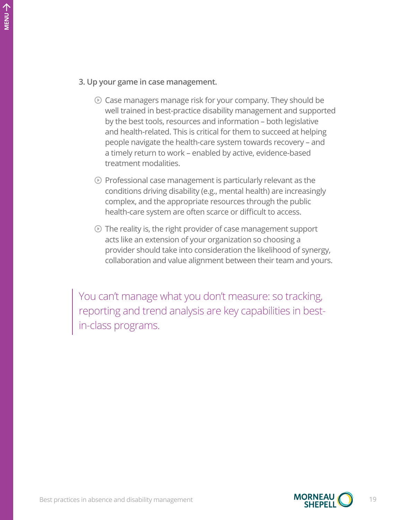#### **3. Up your game in case management.**

- $\odot$  Case managers manage risk for your company. They should be well trained in best-practice disability management and supported by the best tools, resources and information – both legislative and health-related. This is critical for them to succeed at helping people navigate the health-care system towards recovery – and a timely return to work – enabled by active, evidence-based treatment modalities.
- $\odot$  Professional case management is particularly relevant as the conditions driving disability (e.g., mental health) are increasingly complex, and the appropriate resources through the public health-care system are often scarce or difficult to access.
- $\odot$  The reality is, the right provider of case management support acts like an extension of your organization so choosing a provider should take into consideration the likelihood of synergy, collaboration and value alignment between their team and yours.

You can't manage what you don't measure: so tracking, reporting and trend analysis are key capabilities in bestin-class programs.



个<br>NENU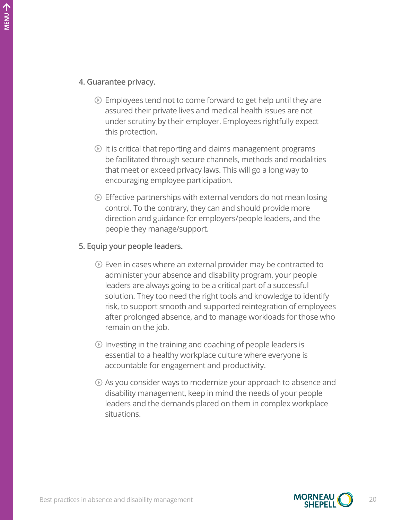#### **4. Guarantee privacy.**

- $\odot$  Employees tend not to come forward to get help until they are assured their private lives and medical health issues are not under scrutiny by their employer. Employees rightfully expect this protection.
- $\odot$  It is critical that reporting and claims management programs be facilitated through secure channels, methods and modalities that meet or exceed privacy laws. This will go a long way to encouraging employee participation.
- $\odot$  Effective partnerships with external vendors do not mean losing control. To the contrary, they can and should provide more direction and guidance for employers/people leaders, and the people they manage/support.

#### **5. Equip your people leaders.**

- $\odot$  Even in cases where an external provider may be contracted to administer your absence and disability program, your people leaders are always going to be a critical part of a successful solution. They too need the right tools and knowledge to identify risk, to support smooth and supported reintegration of employees after prolonged absence, and to manage workloads for those who remain on the job.
- $\odot$  Investing in the training and coaching of people leaders is essential to a healthy workplace culture where everyone is accountable for engagement and productivity.
- $\odot$  As you consider ways to modernize your approach to absence and disability management, keep in mind the needs of your people leaders and the demands placed on them in complex workplace situations.

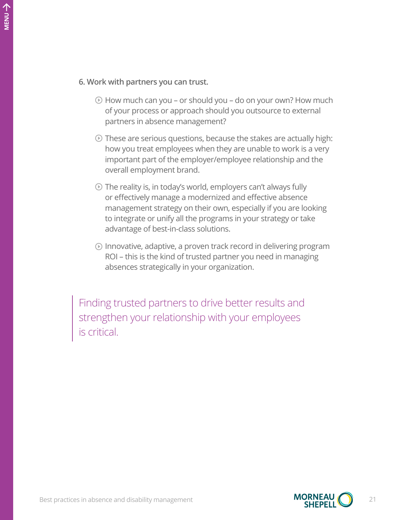- $\odot$  How much can you or should you do on your own? How much of your process or approach should you outsource to external partners in absence management?
- $\odot$  These are serious questions, because the stakes are actually high: how you treat employees when they are unable to work is a very important part of the employer/employee relationship and the overall employment brand.
- $\odot$  The reality is, in today's world, employers can't always fully or effectively manage a modernized and effective absence management strategy on their own, especially if you are looking to integrate or unify all the programs in your strategy or take advantage of best-in-class solutions.
- Innovative, adaptive, a proven track record in delivering program ROI – this is the kind of trusted partner you need in managing absences strategically in your organization.

Finding trusted partners to drive better results and strengthen your relationship with your employees is critical.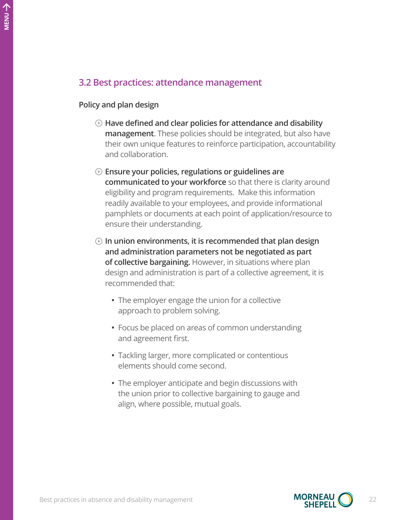# **3.2 Best practices: attendance management**

#### **Policy and plan design**

- **Have defined and clear policies for attendance and disability management**. These policies should be integrated, but also have their own unique features to reinforce participation, accountability and collaboration.
- **Ensure your policies, regulations or guidelines are communicated to your workforce** so that there is clarity around eligibility and program requirements. Make this information readily available to your employees, and provide informational pamphlets or documents at each point of application/resource to ensure their understanding.
- **In union environments, it is recommended that plan design and administration parameters not be negotiated as part of collective bargaining.** However, in situations where plan design and administration is part of a collective agreement, it is recommended that:
	- **•** The employer engage the union for a collective approach to problem solving.
	- **•** Focus be placed on areas of common understanding and agreement first.
	- **•** Tackling larger, more complicated or contentious elements should come second.
	- **•** The employer anticipate and begin discussions with the union prior to collective bargaining to gauge and align, where possible, mutual goals.

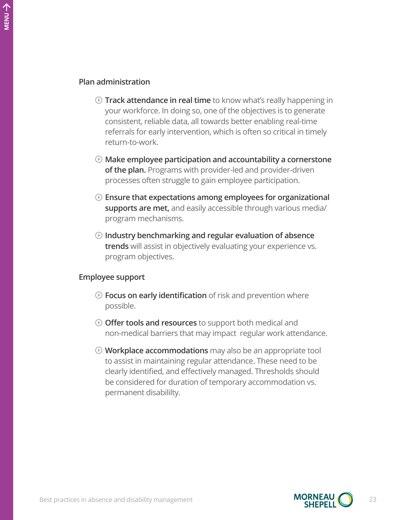#### **Plan administration**

- **Track attendance in real time** to know what's really happening in your workforce. In doing so, one of the objectives is to generate consistent, reliable data, all towards better enabling real-time referrals for early intervention, which is often so critical in timely return-to-work.
- **Make employee participation and accountability a cornerstone of the plan.** Programs with provider-led and provider-driven processes often struggle to gain employee participation.
- **Ensure that expectations among employees for organizational supports are met,** and easily accessible through various media/ program mechanisms.
- **Industry benchmarking and regular evaluation of absence trends** will assist in objectively evaluating your experience vs. program objectives.

#### **Employee support**

- **Focus on early identification** of risk and prevention where possible.
- **Offer tools and resources** to support both medical and non-medical barriers that may impact regular work attendance.
- **Workplace accommodations** may also be an appropriate tool to assist in maintaining regular attendance. These need to be clearly identified, and effectively managed. Thresholds should be considered for duration of temporary accommodation vs. permanent disabililty.

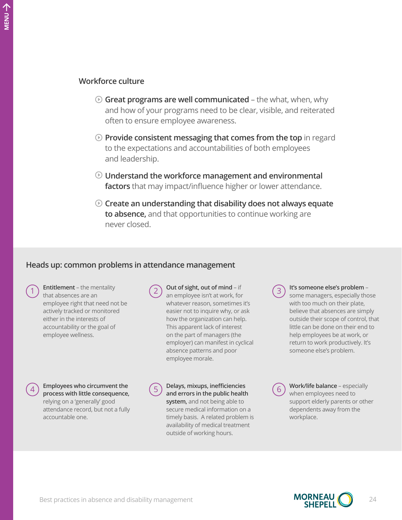个<br>NENU

#### **Workforce culture**

- **Great programs are well communicated** the what, when, why and how of your programs need to be clear, visible, and reiterated often to ensure employee awareness.
- **Provide consistent messaging that comes from the top** in regard to the expectations and accountabilities of both employees and leadership.
- **Understand the workforce management and environmental factors** that may impact/influence higher or lower attendance.
- **Create an understanding that disability does not always equate to absence,** and that opportunities to continue working are never closed.

#### **Heads up: common problems in attendance management**

**Entitlement** – the mentality that absences are an employee right that need not be actively tracked or monitored either in the interests of accountability or the goal of employee wellness.

**Out of sight, out of mind – if** an employee isn't at work, for whatever reason, sometimes it's easier not to inquire why, or ask how the organization can help. This apparent lack of interest on the part of managers (the employer) can manifest in cyclical absence patterns and poor employee morale.

**Employees who circumvent the**  $\binom{5}{2}$  Delays, mixups, inefficiencies **proposes** with little consequence **process with little consequence,**  relying on a 'generally' good attendance record, but not a fully accountable one.

**and errors in the public health system,** and not being able to secure medical information on a timely basis. A related problem is availability of medical treatment outside of working hours.

3 **It's someone else's problem** – some managers, especially those with too much on their plate, believe that absences are simply outside their scope of control, that little can be done on their end to help employees be at work, or return to work productively. It's someone else's problem.

6 **Work/life balance** – especially when employees need to support elderly parents or other dependents away from the workplace.

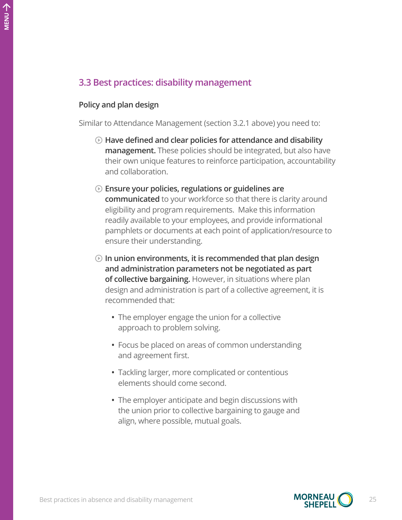# **3.3 Best practices: disability management**

#### **Policy and plan design**

Similar to Attendance Management (section 3.2.1 above) you need to:

- **Have defined and clear policies for attendance and disability management.** These policies should be integrated, but also have their own unique features to reinforce participation, accountability and collaboration.
- **Ensure your policies, regulations or guidelines are communicated** to your workforce so that there is clarity around eligibility and program requirements. Make this information readily available to your employees, and provide informational pamphlets or documents at each point of application/resource to ensure their understanding.
- **In union environments, it is recommended that plan design and administration parameters not be negotiated as part of collective bargaining.** However, in situations where plan design and administration is part of a collective agreement, it is recommended that:
	- **•** The employer engage the union for a collective approach to problem solving.
	- **•** Focus be placed on areas of common understanding and agreement first.
	- **•** Tackling larger, more complicated or contentious elements should come second.
	- **•** The employer anticipate and begin discussions with the union prior to collective bargaining to gauge and align, where possible, mutual goals.

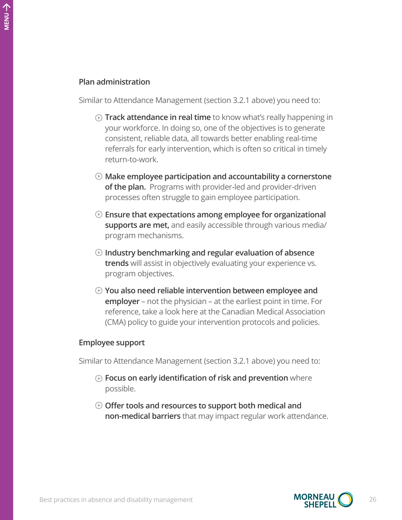#### **Plan administration**

Similar to Attendance Management (section 3.2.1 above) you need to:

- **Track attendance in real time** to know what's really happening in your workforce. In doing so, one of the objectives is to generate consistent, reliable data, all towards better enabling real-time referrals for early intervention, which is often so critical in timely return-to-work.
- **Make employee participation and accountability a cornerstone of the plan.** Programs with provider-led and provider-driven processes often struggle to gain employee participation.
- **Ensure that expectations among employee for organizational supports are met,** and easily accessible through various media/ program mechanisms.
- **Industry benchmarking and regular evaluation of absence trends** will assist in objectively evaluating your experience vs. program objectives.
- **You also need reliable intervention between employee and employer** – not the physician – at the earliest point in time. For reference, take a look here at the Canadian Medical Association (CMA) policy to guide your intervention protocols and policies.

#### **Employee support**

Similar to Attendance Management (section 3.2.1 above) you need to:

- **Focus on early identification of risk and prevention** where possible.
- **Offer tools and resources to support both medical and non-medical barriers** that may impact regular work attendance.

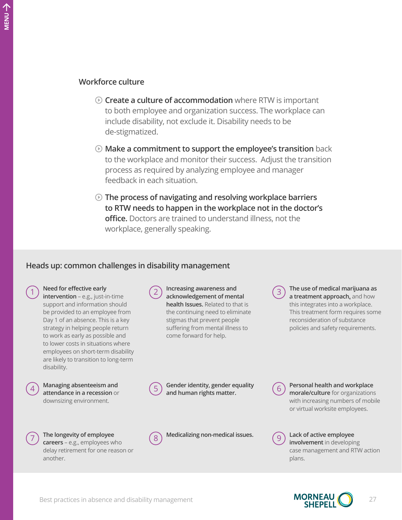- **Create a culture of accommodation** where RTW is important to both employee and organization success. The workplace can include disability, not exclude it. Disability needs to be de-stigmatized.
- **Make a commitment to support the employee's transition** back to the workplace and monitor their success. Adjust the transition process as required by analyzing employee and manager feedback in each situation.
- **The process of navigating and resolving workplace barriers to RTW needs to happen in the workplace not in the doctor's office.** Doctors are trained to understand illness, not the workplace, generally speaking.

#### **Heads up: common challenges in disability management**



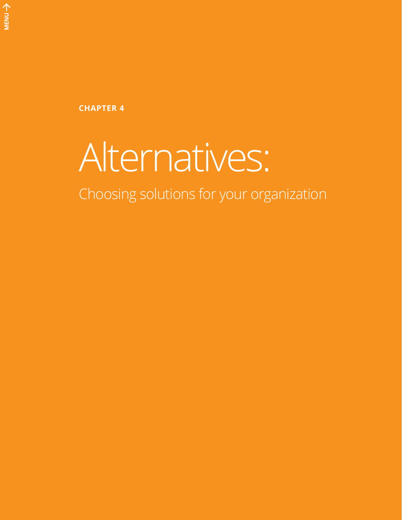**CHAPTER 4**

# Alternatives:

Choosing solutions for your organization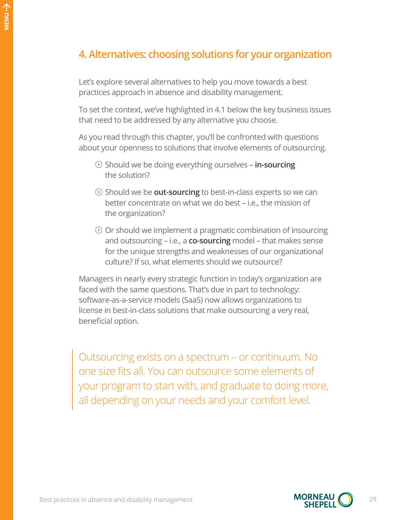# **4. Alternatives: choosing solutions for your organization**

Let's explore several alternatives to help you move towards a best practices approach in absence and disability management.

To set the context, we've highlighted in 4.1 below the key business issues that need to be addressed by any alternative you choose.

As you read through this chapter, you'll be confronted with questions about your openness to solutions that involve elements of outsourcing.

- Should we be doing everything ourselves **in-sourcing** the solution?
- Should we be **out-sourcing** to best-in-class experts so we can better concentrate on what we do best – i.e., the mission of the organization?
- $\odot$  Or should we implement a pragmatic combination of insourcing and outsourcing – i.e., a **co-sourcing** model – that makes sense for the unique strengths and weaknesses of our organizational culture? If so, what elements should we outsource?

Managers in nearly every strategic function in today's organization are faced with the same questions. That's due in part to technology: software-as-a-service models (SaaS) now allows organizations to license in best-in-class solutions that make outsourcing a very real, beneficial option.

Outsourcing exists on a spectrum – or continuum. No one size fits all. You can outsource some elements of your program to start with, and graduate to doing more, all depending on your needs and your comfort level.

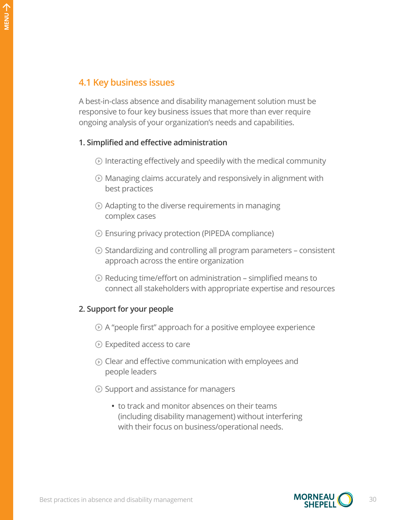A best-in-class absence and disability management solution must be responsive to four key business issues that more than ever require ongoing analysis of your organization's needs and capabilities.

#### **1. Simplified and effective administration**

- $\odot$  Interacting effectively and speedily with the medical community
- Managing claims accurately and responsively in alignment with best practices
- $\odot$  Adapting to the diverse requirements in managing complex cases
- Ensuring privacy protection (PIPEDA compliance)
- $\odot$  Standardizing and controlling all program parameters consistent approach across the entire organization
- $\odot$  Reducing time/effort on administration simplified means to connect all stakeholders with appropriate expertise and resources

#### **2. Support for your people**

- A "people first" approach for a positive employee experience
- **■** Expedited access to care
- $\odot$  Clear and effective communication with employees and people leaders
- $\odot$  Support and assistance for managers
	- **•** to track and monitor absences on their teams (including disability management) without interfering with their focus on business/operational needs.

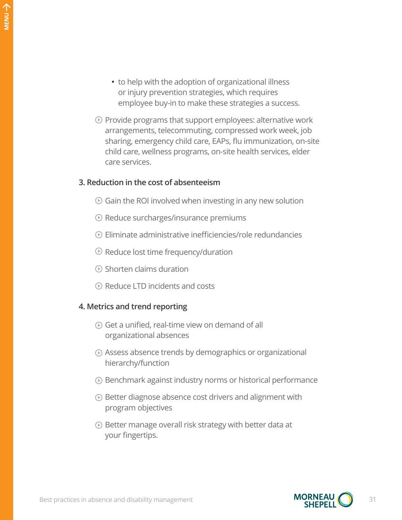- **•** to help with the adoption of organizational illness or injury prevention strategies, which requires employee buy-in to make these strategies a success.
- $\odot$  Provide programs that support employees: alternative work arrangements, telecommuting, compressed work week, job sharing, emergency child care, EAPs, flu immunization, on-site child care, wellness programs, on-site health services, elder care services.

#### **3. Reduction in the cost of absenteeism**

- $\odot$  Gain the ROI involved when investing in any new solution
- $\odot$  Reduce surcharges/insurance premiums
- $\odot$  Eliminate administrative inefficiencies/role redundancies
- $\odot$  Reduce lost time frequency/duration
- Shorten claims duration
- Reduce LTD incidents and costs

#### **4. Metrics and trend reporting**

- $\odot$  Get a unified, real-time view on demand of all organizational absences
- Assess absence trends by demographics or organizational hierarchy/function
- Benchmark against industry norms or historical performance
- **EXECUTE:** Better diagnose absence cost drivers and alignment with program objectives
- Better manage overall risk strategy with better data at your fingertips.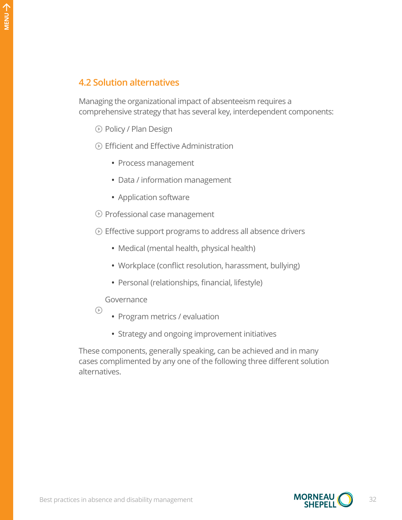# **4.2 Solution alternatives**

Managing the organizational impact of absenteeism requires a comprehensive strategy that has several key, interdependent components:

- Policy / Plan Design
- Efficient and Effective Administration
	- **•** Process management
	- **•** Data / information management
	- **•** Application software
- Professional case management
- Effective support programs to address all absence drivers
	- **•** Medical (mental health, physical health)
	- **•** Workplace (conflict resolution, harassment, bullying)
	- **•** Personal (relationships, financial, lifestyle)

#### Governance

- $\odot$
- **•** Program metrics / evaluation
- **•** Strategy and ongoing improvement initiatives

These components, generally speaking, can be achieved and in many cases complimented by any one of the following three different solution alternatives.

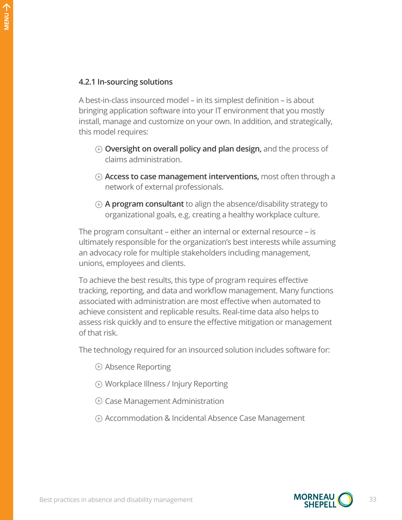#### **4.2.1 In-sourcing solutions**

A best-in-class insourced model – in its simplest definition – is about bringing application software into your IT environment that you mostly install, manage and customize on your own. In addition, and strategically, this model requires:

- **Oversight on overall policy and plan design,** and the process of claims administration.
- **Access to case management interventions,** most often through a network of external professionals.
- **A program consultant** to align the absence/disability strategy to organizational goals, e.g. creating a healthy workplace culture.

The program consultant – either an internal or external resource – is ultimately responsible for the organization's best interests while assuming an advocacy role for multiple stakeholders including management, unions, employees and clients.

To achieve the best results, this type of program requires effective tracking, reporting, and data and workflow management. Many functions associated with administration are most effective when automated to achieve consistent and replicable results. Real-time data also helps to assess risk quickly and to ensure the effective mitigation or management of that risk.

The technology required for an insourced solution includes software for:

- Absence Reporting
- Workplace Illness / Injury Reporting
- Case Management Administration
- Accommodation & Incidental Absence Case Management

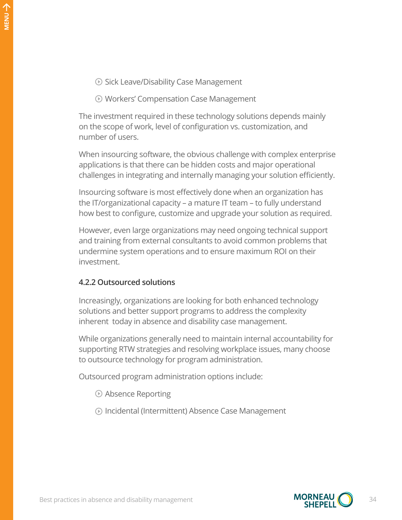- **Sick Leave/Disability Case Management**
- Workers' Compensation Case Management

The investment required in these technology solutions depends mainly on the scope of work, level of configuration vs. customization, and number of users.

When insourcing software, the obvious challenge with complex enterprise applications is that there can be hidden costs and major operational challenges in integrating and internally managing your solution efficiently.

Insourcing software is most effectively done when an organization has the IT/organizational capacity – a mature IT team – to fully understand how best to configure, customize and upgrade your solution as required.

However, even large organizations may need ongoing technical support and training from external consultants to avoid common problems that undermine system operations and to ensure maximum ROI on their investment.

#### **4.2.2 Outsourced solutions**

Increasingly, organizations are looking for both enhanced technology solutions and better support programs to address the complexity inherent today in absence and disability case management.

While organizations generally need to maintain internal accountability for supporting RTW strategies and resolving workplace issues, many choose to outsource technology for program administration.

Outsourced program administration options include:

- Absence Reporting
- Incidental (Intermittent) Absence Case Management

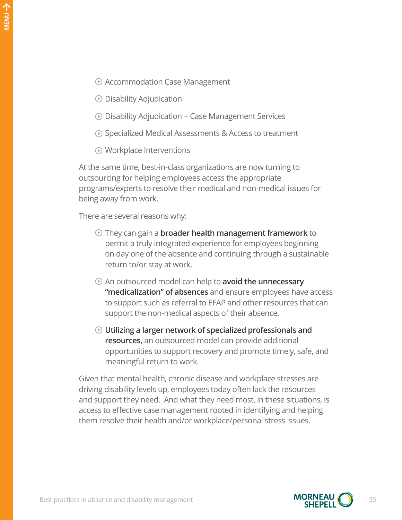- Accommodation Case Management
- $\odot$  Disability Adjudication
- Disability Adjudication + Case Management Services
- **①** Specialized Medical Assessments & Access to treatment
- Workplace Interventions

At the same time, best-in-class organizations are now turning to outsourcing for helping employees access the appropriate programs/experts to resolve their medical and non-medical issues for being away from work.

There are several reasons why:

- They can gain a **broader health management framework** to permit a truly integrated experience for employees beginning on day one of the absence and continuing through a sustainable return to/or stay at work.
- An outsourced model can help to **avoid the unnecessary "medicalization" of absences** and ensure employees have access to support such as referral to EFAP and other resources that can support the non-medical aspects of their absence.
- **Utilizing a larger network of specialized professionals and resources,** an outsourced model can provide additional opportunities to support recovery and promote timely, safe, and meaningful return to work.

Given that mental health, chronic disease and workplace stresses are driving disability levels up, employees today often lack the resources and support they need. And what they need most, in these situations, is access to effective case management rooted in identifying and helping them resolve their health and/or workplace/personal stress issues.

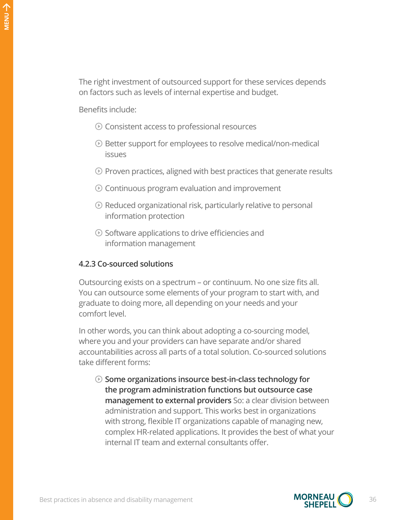The right investment of outsourced support for these services depends on factors such as levels of internal expertise and budget.

Benefits include:

- Consistent access to professional resources
- Better support for employees to resolve medical/non-medical issues
- $\odot$  Proven practices, aligned with best practices that generate results
- $\odot$  Continuous program evaluation and improvement
- $\odot$  Reduced organizational risk, particularly relative to personal information protection
- $\odot$  Software applications to drive efficiencies and information management

#### **4.2.3 Co-sourced solutions**

Outsourcing exists on a spectrum – or continuum. No one size fits all. You can outsource some elements of your program to start with, and graduate to doing more, all depending on your needs and your comfort level.

In other words, you can think about adopting a co-sourcing model, where you and your providers can have separate and/or shared accountabilities across all parts of a total solution. Co-sourced solutions take different forms:

**Some organizations insource best-in-class technology for the program administration functions but outsource case management to external providers** So: a clear division between administration and support. This works best in organizations with strong, flexible IT organizations capable of managing new, complex HR-related applications. It provides the best of what your internal IT team and external consultants offer.

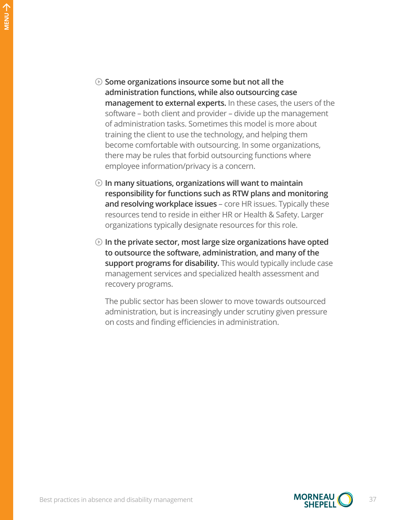- **Some organizations insource some but not all the administration functions, while also outsourcing case management to external experts.** In these cases, the users of the software – both client and provider – divide up the management of administration tasks. Sometimes this model is more about training the client to use the technology, and helping them become comfortable with outsourcing. In some organizations, there may be rules that forbid outsourcing functions where employee information/privacy is a concern.
- **In many situations, organizations will want to maintain responsibility for functions such as RTW plans and monitoring and resolving workplace issues** – core HR issues. Typically these resources tend to reside in either HR or Health & Safety. Larger organizations typically designate resources for this role.
- **In the private sector, most large size organizations have opted to outsource the software, administration, and many of the support programs for disability.** This would typically include case management services and specialized health assessment and recovery programs.

The public sector has been slower to move towards outsourced administration, but is increasingly under scrutiny given pressure on costs and finding efficiencies in administration.

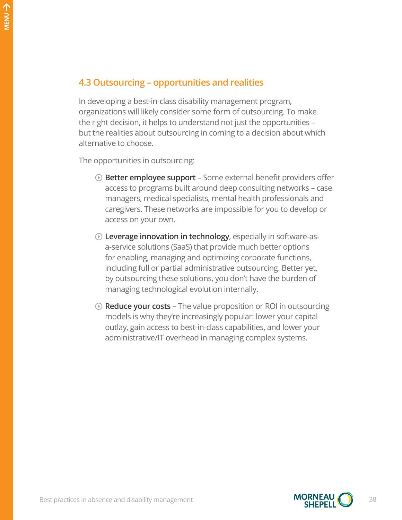### **4.3 Outsourcing – opportunities and realities**

In developing a best-in-class disability management program, organizations will likely consider some form of outsourcing. To make the right decision, it helps to understand not just the opportunities – but the realities about outsourcing in coming to a decision about which alternative to choose.

The opportunities in outsourcing:

- **Better employee support** Some external benefit providers offer access to programs built around deep consulting networks – case managers, medical specialists, mental health professionals and caregivers. These networks are impossible for you to develop or access on your own.
- **Leverage innovation in technology**, especially in software-asa-service solutions (SaaS) that provide much better options for enabling, managing and optimizing corporate functions, including full or partial administrative outsourcing. Better yet, by outsourcing these solutions, you don't have the burden of managing technological evolution internally.
- **Reduce your costs** The value proposition or ROI in outsourcing models is why they're increasingly popular: lower your capital outlay, gain access to best-in-class capabilities, and lower your administrative/IT overhead in managing complex systems.



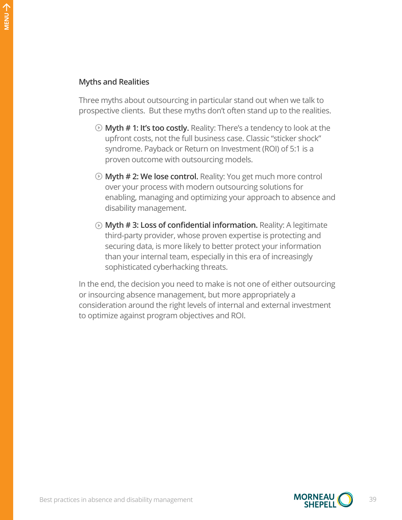#### **Myths and Realities**

Three myths about outsourcing in particular stand out when we talk to prospective clients. But these myths don't often stand up to the realities.

- **Myth # 1: It's too costly.** Reality: There's a tendency to look at the upfront costs, not the full business case. Classic "sticker shock" syndrome. Payback or Return on Investment (ROI) of 5:1 is a proven outcome with outsourcing models.
- **Myth # 2: We lose control.** Reality: You get much more control over your process with modern outsourcing solutions for enabling, managing and optimizing your approach to absence and disability management.
- **Myth # 3: Loss of confidential information.** Reality: A legitimate third-party provider, whose proven expertise is protecting and securing data, is more likely to better protect your information than your internal team, especially in this era of increasingly sophisticated cyberhacking threats.

In the end, the decision you need to make is not one of either outsourcing or insourcing absence management, but more appropriately a consideration around the right levels of internal and external investment to optimize against program objectives and ROI.

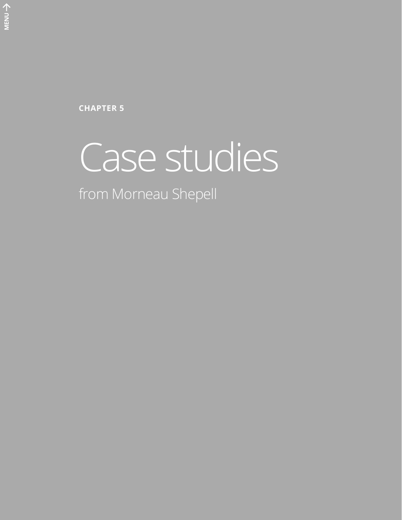**CHAPTER 5**

# Case studies

from Morneau Shepell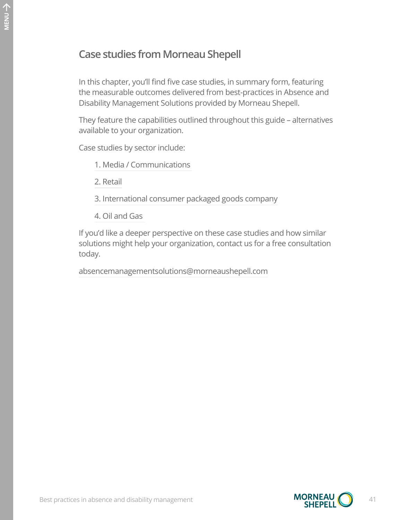# **Case studies from Morneau Shepell**

In this chapter, you'll find five case studies, in summary form, featuring the measurable outcomes delivered from best-practices in Absence and Disability Management Solutions provided by Morneau Shepell.

They feature the capabilities outlined throughout this guide – alternatives available to your organization.

Case studies by sector include:

[1. Media / Communications](#page-41-0) 

[2. Retail](#page-42-0)

- 3[. International consumer packaged goods company](#page-43-0)
- 4[. Oil and Gas](#page-44-0)

If you'd like a deeper perspective on these case studies and how similar solutions might help your organization, contact us for a free consultation today.

[absencemanagementsolutions@morneaushepell.com](mailto:absencemanagementsolutions%40morneaushepell.com?subject=)

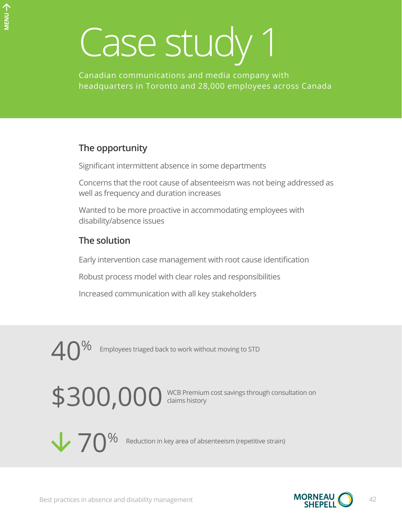<span id="page-41-0"></span>Canadian communications and media company with headquarters in Toronto and 28,000 employees across Canada

# **The opportunity**

Significant intermittent absence in some departments

Concerns that the root cause of absenteeism was not being addressed as well as frequency and duration increases

Wanted to be more proactive in accommodating employees with disability/absence issues

# **The solution**

Early intervention case management with root cause identification

Robust process model with clear roles and responsibilities

Increased communication with all key stakeholders



\$300,000 WCB Premium cost savings through consultation on claims history



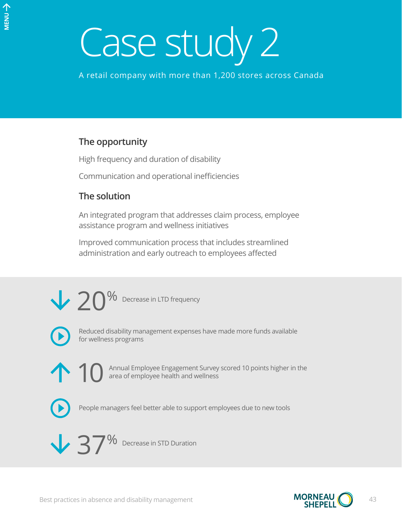<span id="page-42-0"></span>A retail company with more than 1,200 stores across Canada

### **The opportunity**

High frequency and duration of disability

Communication and operational inefficiencies

### **The solution**

An integrated program that addresses claim process, employee assistance program and wellness initiatives

Improved communication process that includes streamlined administration and early outreach to employees affected

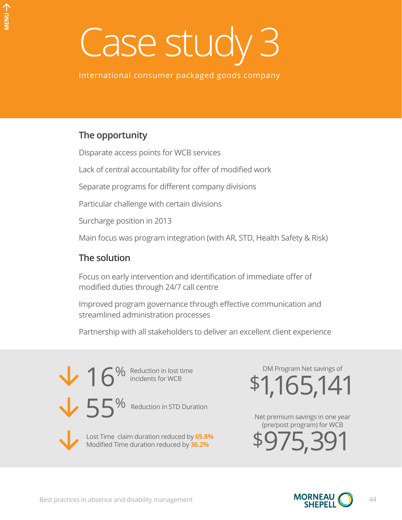<span id="page-43-0"></span>International consumer packaged goods company

# **The opportunity**

Disparate access points for WCB services

Lack of central accountability for offer of modified work

Separate programs for different company divisions

Particular challenge with certain divisions

Surcharge position in 2013

Main focus was program integration (with AR, STD, Health Safety & Risk)

# **The solution**

Focus on early intervention and identification of immediate offer of modified duties through 24/7 call centre

Improved program governance through effective communication and streamlined administration processes

Partnership with all stakeholders to deliver an excellent client experience



\$1,165,141 DM Program Net savings of

Net premium savings in one year (pre/post program) for WCB

\$975,391

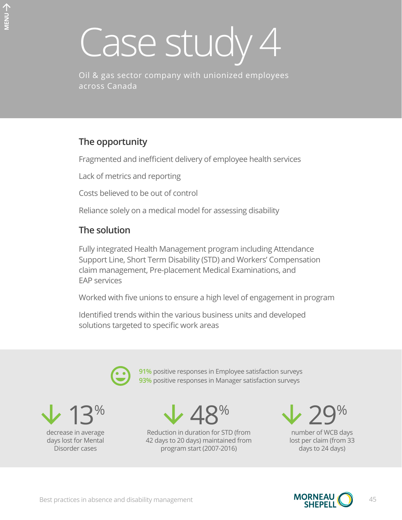<span id="page-44-0"></span>Oil & gas sector company with unionized employees across Canada

# **The opportunity**

Fragmented and inefficient delivery of employee health services

Lack of metrics and reporting

Costs believed to be out of control

Reliance solely on a medical model for assessing disability

# **The solution**

Fully integrated Health Management program including Attendance Support Line, Short Term Disability (STD) and Workers' Compensation claim management, Pre-placement Medical Examinations, and EAP services

Worked with five unions to ensure a high level of engagement in program

**91%** positive responses in Employee satisfaction surveys **93%** positive responses in Manager satisfaction surveys

Identified trends within the various business units and developed solutions targeted to specific work areas



13% decrease in average days lost for Mental Disorder cases

 $\vee$  48%

Reduction in duration for STD (from 42 days to 20 days) maintained from program start (2007-2016)

29% number of WCB days lost per claim (from 33 days to 24 days)

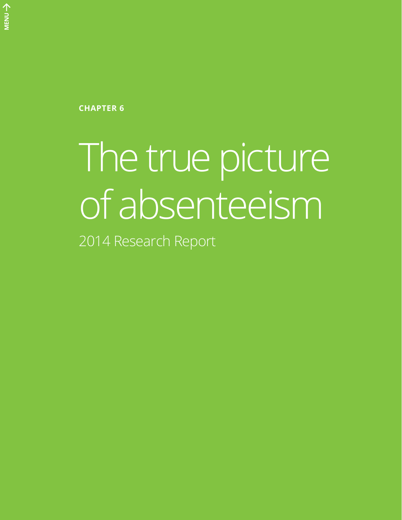**CHAPTER 6**

# The true picture of absenteeism

2014 Research Report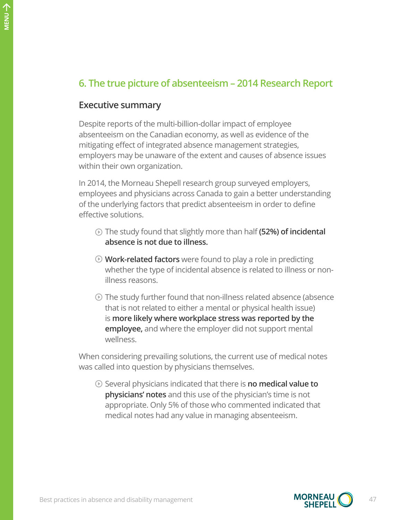# **6. The true picture of absenteeism – 2014 Research Report**

#### **Executive summary**

Despite reports of the multi-billion-dollar impact of employee absenteeism on the Canadian economy, as well as evidence of the mitigating effect of integrated absence management strategies, employers may be unaware of the extent and causes of absence issues within their own organization.

In 2014, the Morneau Shepell research group surveyed employers, employees and physicians across Canada to gain a better understanding of the underlying factors that predict absenteeism in order to define effective solutions.

- The study found that slightly more than half **(52%) of incidental absence is not due to illness.**
- **Work-related factors** were found to play a role in predicting whether the type of incidental absence is related to illness or nonillness reasons.
- The study further found that non-illness related absence (absence that is not related to either a mental or physical health issue) is **more likely where workplace stress was reported by the employee,** and where the employer did not support mental wellness.

When considering prevailing solutions, the current use of medical notes was called into question by physicians themselves.

Several physicians indicated that there is **no medical value to physicians' notes** and this use of the physician's time is not appropriate. Only 5% of those who commented indicated that medical notes had any value in managing absenteeism.

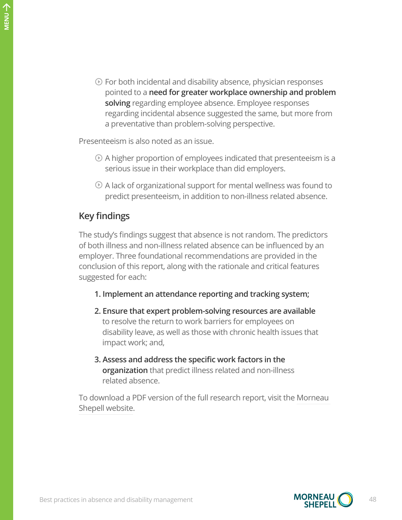$\odot$  For both incidental and disability absence, physician responses pointed to a **need for greater workplace ownership and problem solving** regarding employee absence. Employee responses regarding incidental absence suggested the same, but more from a preventative than problem-solving perspective.

Presenteeism is also noted as an issue.

- $\odot$  A higher proportion of employees indicated that presenteeism is a serious issue in their workplace than did employers.
- $\odot$  A lack of organizational support for mental wellness was found to predict presenteeism, in addition to non-illness related absence.

#### **Key findings**

The study's findings suggest that absence is not random. The predictors of both illness and non-illness related absence can be influenced by an employer. Three foundational recommendations are provided in the conclusion of this report, along with the rationale and critical features suggested for each:

- **1. Implement an attendance reporting and tracking system;**
- **2. Ensure that expert problem-solving resources are available** to resolve the return to work barriers for employees on disability leave, as well as those with chronic health issues that impact work; and,
- **3. Assess and address the specific work factors in the organization** that predict illness related and non-illness related absence.

To download a PDF version of the full research report, visit the [Morneau](http://www.morneaushepell.com)  [Shepell website](http://www.morneaushepell.com).